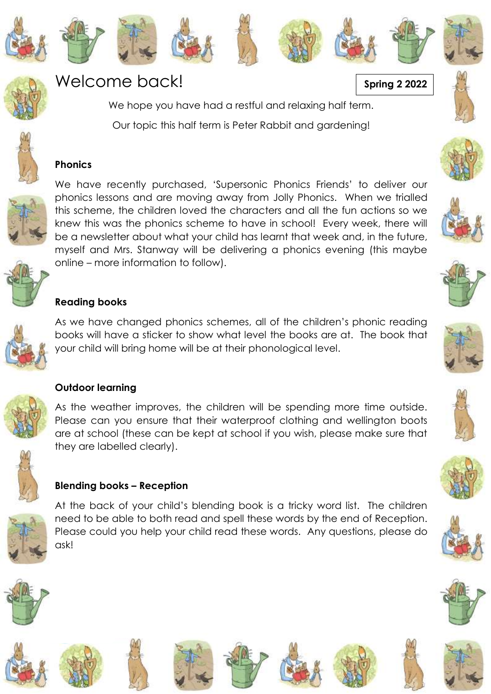











**Spring 2 2022**



# Welcome back!

We hope you have had a restful and relaxing half term. Our topic this half term is Peter Rabbit and gardening!

#### **Phonics**



We have recently purchased, 'Supersonic Phonics Friends' to deliver our phonics lessons and are moving away from Jolly Phonics. When we trialled this scheme, the children loved the characters and all the fun actions so we knew this was the phonics scheme to have in school! Every week, there will be a newsletter about what your child has learnt that week and, in the future, myself and Mrs. Stanway will be delivering a phonics evening (this maybe online – more information to follow).



#### **Reading books**

As we have changed phonics schemes, all of the children's phonic reading books will have a sticker to show what level the books are at. The book that your child will bring home will be at their phonological level.



## **Outdoor learning**

As the weather improves, the children will be spending more time outside. Please can you ensure that their waterproof clothing and wellington boots are at school (these can be kept at school if you wish, please make sure that they are labelled clearly).





At the back of your child's blending book is a tricky word list. The children need to be able to both read and spell these words by the end of Reception. Please could you help your child read these words. Any questions, please do ask!



































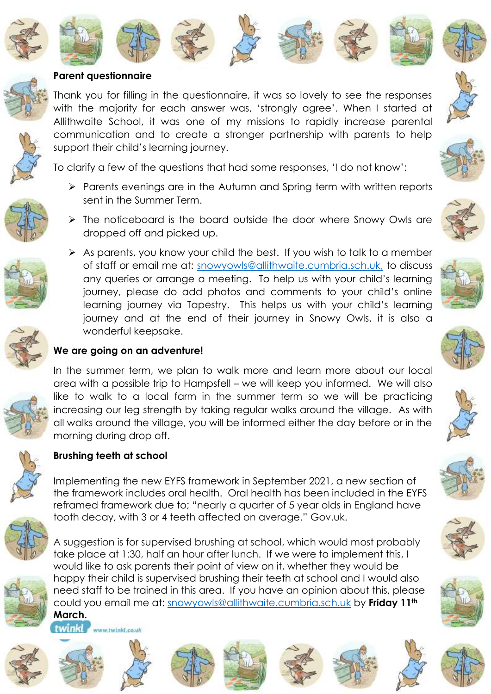



















Thank you for filling in the questionnaire, it was so lovely to see the responses with the majority for each answer was, 'strongly agree'. When I started at Allithwaite School, it was one of my missions to rapidly increase parental communication and to create a stronger partnership with parents to help support their child's learning journey.

To clarify a few of the questions that had some responses, 'I do not know':

➢ Parents evenings are in the Autumn and Spring term with written reports sent in the Summer Term.

journey, please do add photos and comments to your child's online learning journey via Tapestry. This helps us with your child's learning journey and at the end of their journey in Snowy Owls, it is also a

- ➢ The noticeboard is the board outside the door where Snowy Owls are
- 





### **We are going on an adventure!**

wonderful keepsake.

dropped off and picked up.

In the summer term, we plan to walk more and learn more about our local area with a possible trip to Hampsfell – we will keep you informed. We will also like to walk to a local farm in the summer term so we will be practicing increasing our leg strength by taking regular walks around the village. As with all walks around the village, you will be informed either the day before or in the morning during drop off.





#### **Brushing teeth at school**

Implementing the new EYFS framework in September 2021, a new section of the framework includes oral health. Oral health has been included in the EYFS reframed framework due to; "nearly a quarter of 5 year olds in England have tooth decay, with 3 or 4 teeth affected on average." Gov.uk.



A suggestion is for supervised brushing at school, which would most probably take place at 1:30, half an hour after lunch. If we were to implement this, I would like to ask parents their point of view on it, whether they would be happy their child is supervised brushing their teeth at school and I would also need staff to be trained in this area. If you have an opinion about this, please could you email me at: [snowyowls@allithwaite.cumbria.sch.uk](mailto:snowyowls@allithwaite.cumbria.sch.uk) by **Friday 11th**







twinkl www.twinkl.co.uk

**March.**